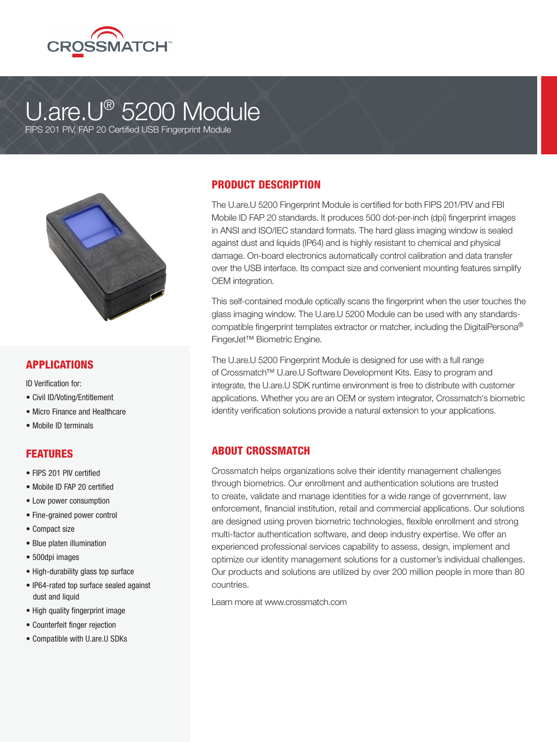

# U.are.U® 5200 Module

FIPS 201 PIV, FAP 20 Certified USB Fingerprint Module



#### APPLICATIONS

ID Verification for:

- Civil ID/Voting/Entitlement
- Micro Finance and Healthcare
- Mobile ID terminals

#### **FEATURES**

- FIPS 201 PIV certified
- Mobile ID FAP 20 certified
- Low power consumption
- Fine-grained power control
- Compact size
- Blue platen illumination
- 500dpi images
- High-durability glass top surface
- IP64-rated top surface sealed against dust and liquid
- High quality fingerprint image
- Counterfeit finger rejection
- Compatible with U.are.U SDKs

#### PRODUCT DESCRIPTION

The U.are.U 5200 Fingerprint Module is certified for both FIPS 201/PIV and FBI Mobile ID FAP 20 standards. It produces 500 dot-per-inch (dpi) fingerprint images in ANSI and ISO/IEC standard formats. The hard glass imaging window is sealed against dust and liquids (IP64) and is highly resistant to chemical and physical damage. On-board electronics automatically control calibration and data transfer over the USB interface. Its compact size and convenient mounting features simplify OEM integration.

This self-contained module optically scans the fingerprint when the user touches the glass imaging window. The U.are.U 5200 Module can be used with any standardscompatible fingerprint templates extractor or matcher, including the DigitalPersona® FingerJet™ Biometric Engine.

The U.are.U 5200 Fingerprint Module is designed for use with a full range of Crossmatch™ U.are.U Software Development Kits. Easy to program and integrate, the U.are.U SDK runtime environment is free to distribute with customer applications. Whether you are an OEM or system integrator, Crossmatch's biometric identity verification solutions provide a natural extension to your applications.

### ABOUT CROSSMATCH

Crossmatch helps organizations solve their identity management challenges through biometrics. Our enrollment and authentication solutions are trusted to create, validate and manage identities for a wide range of government, law enforcement, financial institution, retail and commercial applications. Our solutions are designed using proven biometric technologies, flexible enrollment and strong multi-factor authentication software, and deep industry expertise. We offer an experienced professional services capability to assess, design, implement and optimize our identity management solutions for a customer's individual challenges. Our products and solutions are utilized by over 200 million people in more than 80 countries.

Learn more at www.crossmatch.com